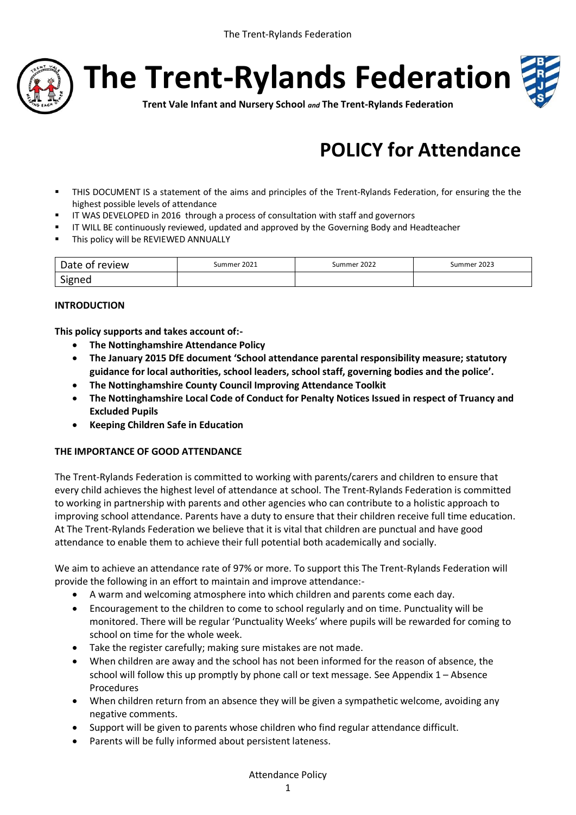

**The Trent-Rylands Federation**



**Trent Vale Infant and Nursery School** *and* **The Trent-Rylands Federation**

# **POLICY for Attendance**

- THIS DOCUMENT IS a statement of the aims and principles of the Trent-Rylands Federation, for ensuring the the highest possible levels of attendance
- IT WAS DEVELOPED in 2016 through a process of consultation with staff and governors
- **IF WILL BE continuously reviewed, updated and approved by the Governing Body and Headteacher**
- **This policy will be REVIEWED ANNUALLY**

| Date of review | Summer 2021 | Summer 2022 | Summer 2023 |
|----------------|-------------|-------------|-------------|
| Signed         |             |             |             |

#### **INTRODUCTION**

**This policy supports and takes account of:-**

- **The Nottinghamshire Attendance Policy**
- **The January 2015 DfE document 'School attendance parental responsibility measure; statutory guidance for local authorities, school leaders, school staff, governing bodies and the police'.**
- **The Nottinghamshire County Council Improving Attendance Toolkit**
- **The Nottinghamshire Local Code of Conduct for Penalty Notices Issued in respect of Truancy and Excluded Pupils**
- **Keeping Children Safe in Education**

#### **THE IMPORTANCE OF GOOD ATTENDANCE**

The Trent-Rylands Federation is committed to working with parents/carers and children to ensure that every child achieves the highest level of attendance at school. The Trent-Rylands Federation is committed to working in partnership with parents and other agencies who can contribute to a holistic approach to improving school attendance. Parents have a duty to ensure that their children receive full time education. At The Trent-Rylands Federation we believe that it is vital that children are punctual and have good attendance to enable them to achieve their full potential both academically and socially.

We aim to achieve an attendance rate of 97% or more. To support this The Trent-Rylands Federation will provide the following in an effort to maintain and improve attendance:-

- A warm and welcoming atmosphere into which children and parents come each day.
- Encouragement to the children to come to school regularly and on time. Punctuality will be monitored. There will be regular 'Punctuality Weeks' where pupils will be rewarded for coming to school on time for the whole week.
- Take the register carefully; making sure mistakes are not made.
- When children are away and the school has not been informed for the reason of absence, the school will follow this up promptly by phone call or text message. See Appendix  $1 -$ Absence Procedures
- When children return from an absence they will be given a sympathetic welcome, avoiding any negative comments.
- Support will be given to parents whose children who find regular attendance difficult.
- Parents will be fully informed about persistent lateness.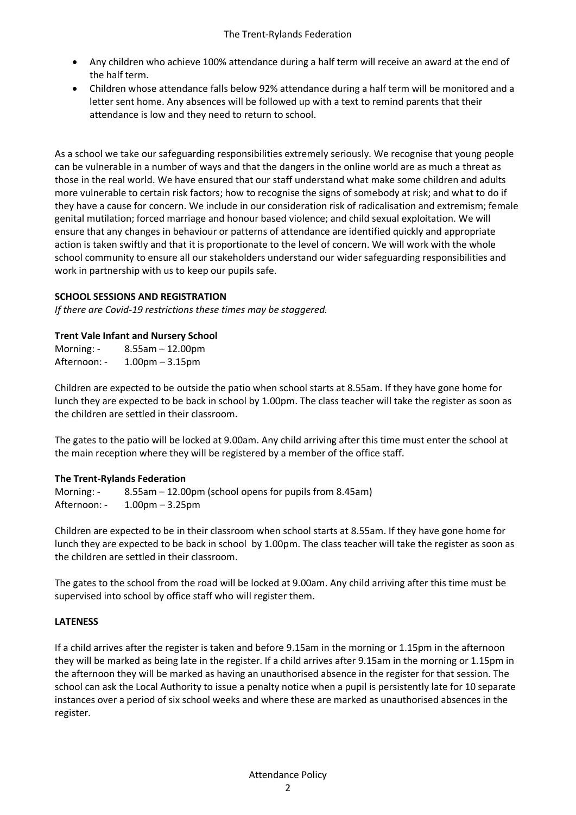- Any children who achieve 100% attendance during a half term will receive an award at the end of the half term.
- Children whose attendance falls below 92% attendance during a half term will be monitored and a letter sent home. Any absences will be followed up with a text to remind parents that their attendance is low and they need to return to school.

As a school we take our safeguarding responsibilities extremely seriously. We recognise that young people can be vulnerable in a number of ways and that the dangers in the online world are as much a threat as those in the real world. We have ensured that our staff understand what make some children and adults more vulnerable to certain risk factors; how to recognise the signs of somebody at risk; and what to do if they have a cause for concern. We include in our consideration risk of radicalisation and extremism; female genital mutilation; forced marriage and honour based violence; and child sexual exploitation. We will ensure that any changes in behaviour or patterns of attendance are identified quickly and appropriate action is taken swiftly and that it is proportionate to the level of concern. We will work with the whole school community to ensure all our stakeholders understand our wider safeguarding responsibilities and work in partnership with us to keep our pupils safe.

# **SCHOOL SESSIONS AND REGISTRATION**

*If there are Covid-19 restrictions these times may be staggered.* 

# **Trent Vale Infant and Nursery School**

Morning: - 8.55am – 12.00pm Afternoon: - 1.00pm – 3.15pm

Children are expected to be outside the patio when school starts at 8.55am. If they have gone home for lunch they are expected to be back in school by 1.00pm. The class teacher will take the register as soon as the children are settled in their classroom.

The gates to the patio will be locked at 9.00am. Any child arriving after this time must enter the school at the main reception where they will be registered by a member of the office staff.

# **The Trent-Rylands Federation**

Morning: - 8.55am – 12.00pm (school opens for pupils from 8.45am) Afternoon: - 1.00pm – 3.25pm

Children are expected to be in their classroom when school starts at 8.55am. If they have gone home for lunch they are expected to be back in school by 1.00pm. The class teacher will take the register as soon as the children are settled in their classroom.

The gates to the school from the road will be locked at 9.00am. Any child arriving after this time must be supervised into school by office staff who will register them.

# **LATENESS**

If a child arrives after the register is taken and before 9.15am in the morning or 1.15pm in the afternoon they will be marked as being late in the register. If a child arrives after 9.15am in the morning or 1.15pm in the afternoon they will be marked as having an unauthorised absence in the register for that session. The school can ask the Local Authority to issue a penalty notice when a pupil is persistently late for 10 separate instances over a period of six school weeks and where these are marked as unauthorised absences in the register.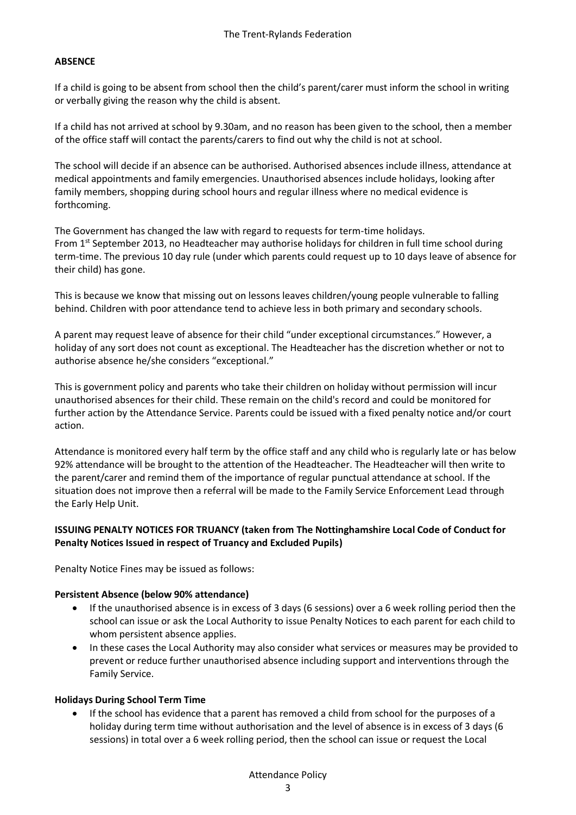# **ABSENCE**

If a child is going to be absent from school then the child's parent/carer must inform the school in writing or verbally giving the reason why the child is absent.

If a child has not arrived at school by 9.30am, and no reason has been given to the school, then a member of the office staff will contact the parents/carers to find out why the child is not at school.

The school will decide if an absence can be authorised. Authorised absences include illness, attendance at medical appointments and family emergencies. Unauthorised absences include holidays, looking after family members, shopping during school hours and regular illness where no medical evidence is forthcoming.

The Government has changed the law with regard to requests for term-time holidays. From 1st September 2013, no Headteacher may authorise holidays for children in full time school during term-time. The previous 10 day rule (under which parents could request up to 10 days leave of absence for their child) has gone.

This is because we know that missing out on lessons leaves children/young people vulnerable to falling behind. Children with poor attendance tend to achieve less in both primary and secondary schools.

A parent may request leave of absence for their child "under exceptional circumstances." However, a holiday of any sort does not count as exceptional. The Headteacher has the discretion whether or not to authorise absence he/she considers "exceptional."

This is government policy and parents who take their children on holiday without permission will incur unauthorised absences for their child. These remain on the child's record and could be monitored for further action by the Attendance Service. Parents could be issued with a fixed penalty notice and/or court action.

Attendance is monitored every half term by the office staff and any child who is regularly late or has below 92% attendance will be brought to the attention of the Headteacher. The Headteacher will then write to the parent/carer and remind them of the importance of regular punctual attendance at school. If the situation does not improve then a referral will be made to the Family Service Enforcement Lead through the Early Help Unit.

#### **ISSUING PENALTY NOTICES FOR TRUANCY (taken from The Nottinghamshire Local Code of Conduct for Penalty Notices Issued in respect of Truancy and Excluded Pupils)**

Penalty Notice Fines may be issued as follows:

#### **Persistent Absence (below 90% attendance)**

- If the unauthorised absence is in excess of 3 days (6 sessions) over a 6 week rolling period then the school can issue or ask the Local Authority to issue Penalty Notices to each parent for each child to whom persistent absence applies.
- In these cases the Local Authority may also consider what services or measures may be provided to prevent or reduce further unauthorised absence including support and interventions through the Family Service.

#### **Holidays During School Term Time**

 If the school has evidence that a parent has removed a child from school for the purposes of a holiday during term time without authorisation and the level of absence is in excess of 3 days (6 sessions) in total over a 6 week rolling period, then the school can issue or request the Local